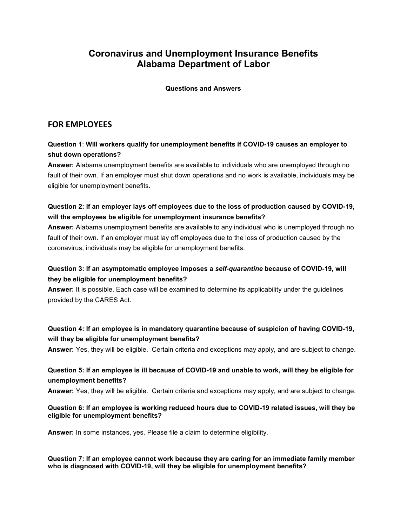# **Coronavirus and Unemployment Insurance Benefits Alabama Department of Labor**

**Questions and Answers**

# **FOR EMPLOYEES**

# **Question 1**: **Will workers qualify for unemployment benefits if COVID-19 causes an employer to shut down operations?**

**Answer:** Alabama unemployment benefits are available to individuals who are unemployed through no fault of their own. If an employer must shut down operations and no work is available, individuals may be eligible for unemployment benefits.

# **Question 2: If an employer lays off employees due to the loss of production caused by COVID-19, will the employees be eligible for unemployment insurance benefits?**

**Answer:** Alabama unemployment benefits are available to any individual who is unemployed through no fault of their own. If an employer must lay off employees due to the loss of production caused by the coronavirus, individuals may be eligible for unemployment benefits.

# **Question 3: If an asymptomatic employee imposes a** *self-quarantine* **because of COVID-19, will they be eligible for unemployment benefits?**

**Answer:** It is possible. Each case will be examined to determine its applicability under the guidelines provided by the CARES Act.

# **Question 4: If an employee is in mandatory quarantine because of suspicion of having COVID-19, will they be eligible for unemployment benefits?**

**Answer:** Yes, they will be eligible. Certain criteria and exceptions may apply, and are subject to change.

# **Question 5: If an employee is ill because of COVID-19 and unable to work, will they be eligible for unemployment benefits?**

**Answer:** Yes, they will be eligible. Certain criteria and exceptions may apply, and are subject to change.

### **Question 6: If an employee is working reduced hours due to COVID-19 related issues, will they be eligible for unemployment benefits?**

**Answer:** In some instances, yes. Please file a claim to determine eligibility.

**Question 7: If an employee cannot work because they are caring for an immediate family member who is diagnosed with COVID-19, will they be eligible for unemployment benefits?**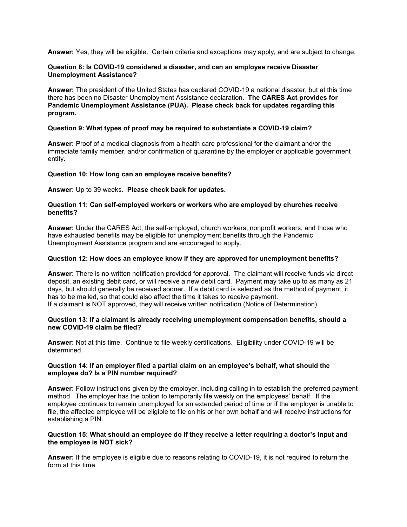**Answer:** Yes, they will be eligible. Certain criteria and exceptions may apply, and are subject to change.

#### **Question 8: Is COVID-19 considered a disaster, and can an employee receive Disaster Unemployment Assistance?**

**Answer:** The president of the United States has declared COVID-19 a national disaster, but at this time there has been no Disaster Unemployment Assistance declaration. **The CARES Act provides for Pandemic Unemployment Assistance (PUA). Please check back for updates regarding this program.**

#### **Question 9: What types of proof may be required to substantiate a COVID-19 claim?**

**Answer:** Proof of a medical diagnosis from a health care professional for the claimant and/or the immediate family member, and/or confirmation of quarantine by the employer or applicable government entity.

#### **Question 10: How long can an employee receive benefits?**

**Answer:** Up to 39 weeks**. Please check back for updates.**

### **Question 11: Can self-employed workers or workers who are employed by churches receive benefits?**

**Answer:** Under the CARES Act, the self-employed, church workers, nonprofit workers, and those who have exhausted benefits may be eligible for unemployment benefits through the Pandemic Unemployment Assistance program and are encouraged to apply.

### **Question 12: How does an employee know if they are approved for unemployment benefits?**

**Answer:** There is no written notification provided for approval. The claimant will receive funds via direct deposit, an existing debit card, or will receive a new debit card. Payment may take up to as many as 21 days, but should generally be received sooner. If a debit card is selected as the method of payment, it has to be mailed, so that could also affect the time it takes to receive payment.

If a claimant is NOT approved, they will receive written notification (Notice of Determination).

#### **Question 13: If a claimant is already receiving unemployment compensation benefits, should a new COVID-19 claim be filed?**

**Answer:** Not at this time. Continue to file weekly certifications. Eligibility under COVID-19 will be determined.

#### **Question 14: If an employer filed a partial claim on an employee's behalf, what should the employee do? Is a PIN number required?**

**Answer:** Follow instructions given by the employer, including calling in to establish the preferred payment method. The employer has the option to temporarily file weekly on the employees' behalf. If the employee continues to remain unemployed for an extended period of time or if the employer is unable to file, the affected employee will be eligible to file on his or her own behalf and will receive instructions for establishing a PIN.

### **Question 15: What should an employee do if they receive a letter requiring a doctor's input and the employee is NOT sick?**

**Answer:** If the employee is eligible due to reasons relating to COVID-19, it is not required to return the form at this time.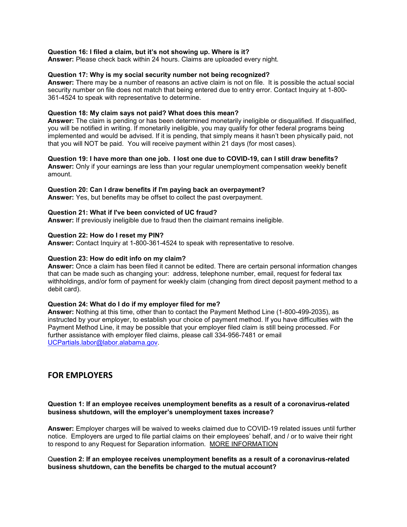#### **Question 16: I filed a claim, but it's not showing up. Where is it?**

**Answer:** Please check back within 24 hours. Claims are uploaded every night.

#### **Question 17: Why is my social security number not being recognized?**

**Answer:** There may be a number of reasons an active claim is not on file. It is possible the actual social security number on file does not match that being entered due to entry error. Contact Inquiry at 1-800- 361-4524 to speak with representative to determine.

#### **Question 18: My claim says not paid? What does this mean?**

**Answer:** The claim is pending or has been determined monetarily ineligible or disqualified. If disqualified, you will be notified in writing. If monetarily ineligible, you may qualify for other federal programs being implemented and would be advised. If it is pending, that simply means it hasn't been physically paid, not that you will NOT be paid. You will receive payment within 21 days (for most cases).

### **Question 19: I have more than one job. I lost one due to COVID-19, can I still draw benefits?**

**Answer:** Only if your earnings are less than your regular unemployment compensation weekly benefit amount.

#### **Question 20: Can I draw benefits if I'm paying back an overpayment?**

**Answer:** Yes, but benefits may be offset to collect the past overpayment.

#### **Question 21: What if I've been convicted of UC fraud?**

**Answer:** If previously ineligible due to fraud then the claimant remains ineligible.

#### **Question 22: How do I reset my PIN?**

**Answer:** Contact Inquiry at 1-800-361-4524 to speak with representative to resolve.

#### **Question 23: How do edit info on my claim?**

**Answer:** Once a claim has been filed it cannot be edited. There are certain personal information changes that can be made such as changing your: address, telephone number, email, request for federal tax withholdings, and/or form of payment for weekly claim (changing from direct deposit payment method to a debit card).

#### **Question 24: What do I do if my employer filed for me?**

**Answer:** Nothing at this time, other than to contact the Payment Method Line (1-800-499-2035), as instructed by your employer, to establish your choice of payment method. If you have difficulties with the Payment Method Line, it may be possible that your employer filed claim is still being processed. For further assistance with employer filed claims, please call 334-956-7481 or email [UCPartials.labor@labor.alabama.gov.](mailto:UCPartials.labor@labor.alabama.gov)

## **FOR EMPLOYERS**

#### **Question 1: If an employee receives unemployment benefits as a result of a coronavirus-related business shutdown, will the employer's unemployment taxes increase?**

**Answer:** Employer charges will be waived to weeks claimed due to COVID-19 related issues until further notice. Employers are urged to file partial claims on their employees' behalf, and / or to waive their right to respond to any Request for Separation information. [MORE INFORMATION](http://www.labor.alabama.gov/COVID/COVID-19%20Employers%20File%20Partial%20Claims.pdf)

#### Q**uestion 2: If an employee receives unemployment benefits as a result of a coronavirus-related business shutdown, can the benefits be charged to the mutual account?**